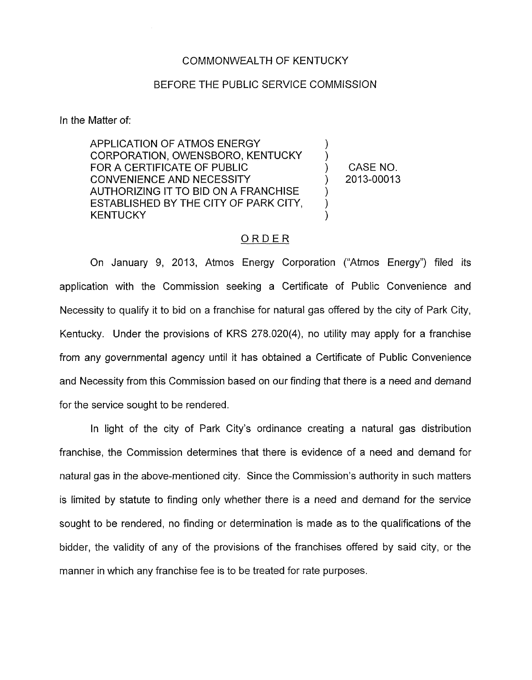## COMMONWEALTH OF KENTUCKY

## BEFORE THE PUBLIC SERVICE COMMISSION

In the Matter of:

APPLICATION OF ATMOS ENERGY 1 CORPORATION, OWENSBORO, KENTUCKY ) FOR A CERTIFICATE OF PUBLIC THE STATE OF  $\bigcup_{n=1}^{\infty}$  CASE NO. CONVENIENCE AND NECESSITY ) 2013-00013 AUTHORIZING IT TO BID ON A FRANCHISE ESTABLISHED BY THE CITY OF PARK CITY, **KENTUCKY** 

## ORDER

On January 9, 2013, Atmos Energy Corporation ("Atmos Energy") filed its application with the Commission seeking a Certificate of Public Convenience and Necessity to qualify it to bid on a franchise for natural gas offered by the city of Park City, Kentucky. Under the provisions of KRS 278.020(4), no utility may apply for a franchise from any governmental agency until it has obtained a Certificate of Public Convenience and Necessity from this Commission based on our finding that there *is* a need and demand for the service sought to be rendered.

In light of the city of Park City's ordinance creating a natural gas distribution franchise, the Commission determines that there is evidence of a need and demand for natural gas in the above-mentioned city. Since the Commission's authority in such matters is limited by statute to finding only whether there is a need and demand for the service sought to be rendered, no finding or determination is made as to the qualifications of the bidder, the validity of any of the provisions of the franchises offered by said city, or the manner in which any franchise fee is to be treated for rate purposes.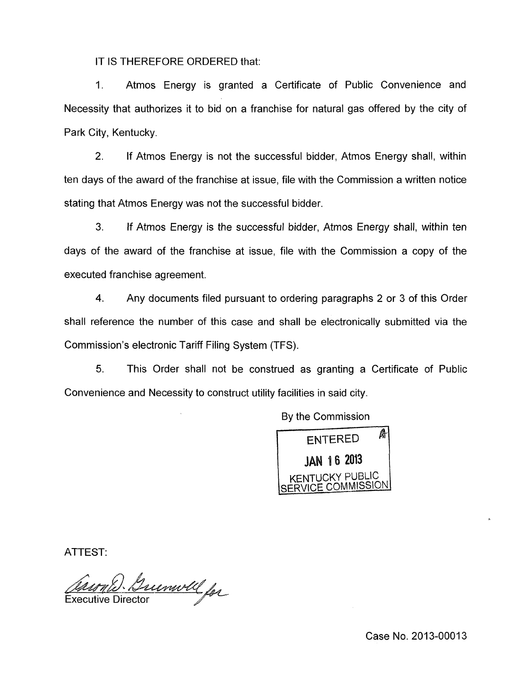IT IS THEREFORE ORDERED that:

1. Atmos Energy is granted a Certificate of Public Convenience and Necessity that authorizes it to bid on a franchise for natural gas offered by the city of Park City, Kentucky.

2. If Atmos Energy is not the successful bidder, Atmos Energy shall, within ten days of the award of the franchise at issue, file with the Commission a written notice stating that Atmos Energy was not the successful bidder

**3.** If Atmos Energy *is* the successful bidder, Atmos Energy shall, within ten days of the award of the franchise at issue, file with the Commission a copy of the executed franchise agreement.

**4.** Any documents filed pursuant to ordering paragraphs 2 or 3 of this Order shall reference the number of this case and shall be electronically submitted via the Commission's electronic Tariff Filing System (TFS).

5. This Order shall not be construed as granting a Certificate of Public Convenience and Necessity to construct utility facilities in said city.

By the Commission



ATTEST:

Guemoll for **Executive Directo** 

Case No. 2013-00013